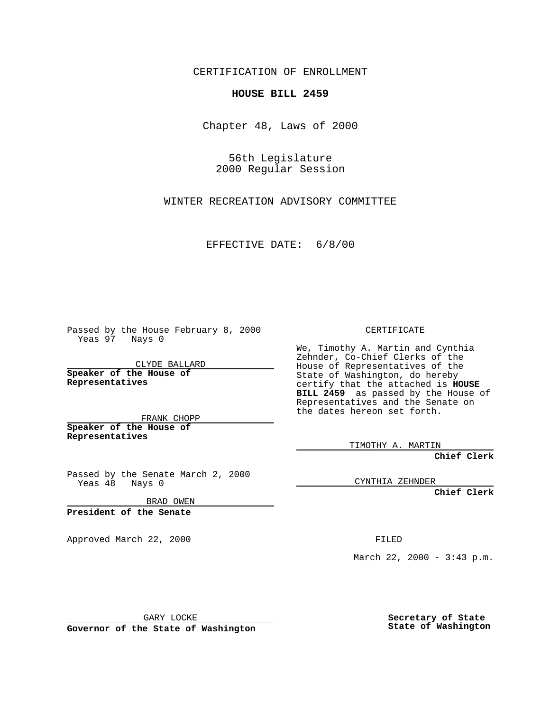CERTIFICATION OF ENROLLMENT

## **HOUSE BILL 2459**

Chapter 48, Laws of 2000

56th Legislature 2000 Regular Session

WINTER RECREATION ADVISORY COMMITTEE

EFFECTIVE DATE: 6/8/00

Passed by the House February 8, 2000 Yeas 97 Nays 0

CLYDE BALLARD **Speaker of the House of Representatives**

FRANK CHOPP **Speaker of the House of**

**Representatives**

Passed by the Senate March 2, 2000 Yeas 48 Nays 0

BRAD OWEN

**President of the Senate**

Approved March 22, 2000 FILED

CERTIFICATE

We, Timothy A. Martin and Cynthia Zehnder, Co-Chief Clerks of the House of Representatives of the State of Washington, do hereby certify that the attached is **HOUSE BILL 2459** as passed by the House of Representatives and the Senate on the dates hereon set forth.

TIMOTHY A. MARTIN

**Chief Clerk**

CYNTHIA ZEHNDER

**Chief Clerk**

March 22, 2000 - 3:43 p.m.

GARY LOCKE

**Governor of the State of Washington**

**Secretary of State State of Washington**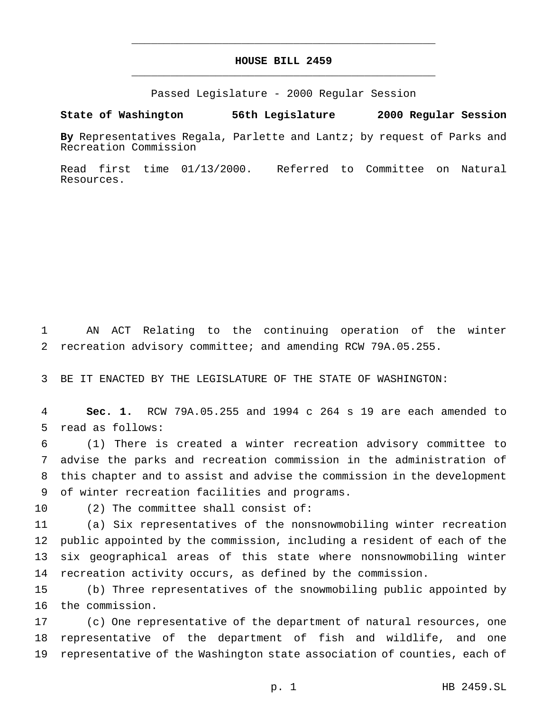## **HOUSE BILL 2459** \_\_\_\_\_\_\_\_\_\_\_\_\_\_\_\_\_\_\_\_\_\_\_\_\_\_\_\_\_\_\_\_\_\_\_\_\_\_\_\_\_\_\_\_\_\_\_

\_\_\_\_\_\_\_\_\_\_\_\_\_\_\_\_\_\_\_\_\_\_\_\_\_\_\_\_\_\_\_\_\_\_\_\_\_\_\_\_\_\_\_\_\_\_\_

Passed Legislature - 2000 Regular Session

## **State of Washington 56th Legislature 2000 Regular Session**

**By** Representatives Regala, Parlette and Lantz; by request of Parks and Recreation Commission

Read first time 01/13/2000. Referred to Committee on Natural Resources.

 AN ACT Relating to the continuing operation of the winter recreation advisory committee; and amending RCW 79A.05.255.

BE IT ENACTED BY THE LEGISLATURE OF THE STATE OF WASHINGTON:

 **Sec. 1.** RCW 79A.05.255 and 1994 c 264 s 19 are each amended to read as follows:

 (1) There is created a winter recreation advisory committee to advise the parks and recreation commission in the administration of this chapter and to assist and advise the commission in the development of winter recreation facilities and programs.

(2) The committee shall consist of:

 (a) Six representatives of the nonsnowmobiling winter recreation public appointed by the commission, including a resident of each of the six geographical areas of this state where nonsnowmobiling winter recreation activity occurs, as defined by the commission.

 (b) Three representatives of the snowmobiling public appointed by the commission.

 (c) One representative of the department of natural resources, one representative of the department of fish and wildlife, and one representative of the Washington state association of counties, each of